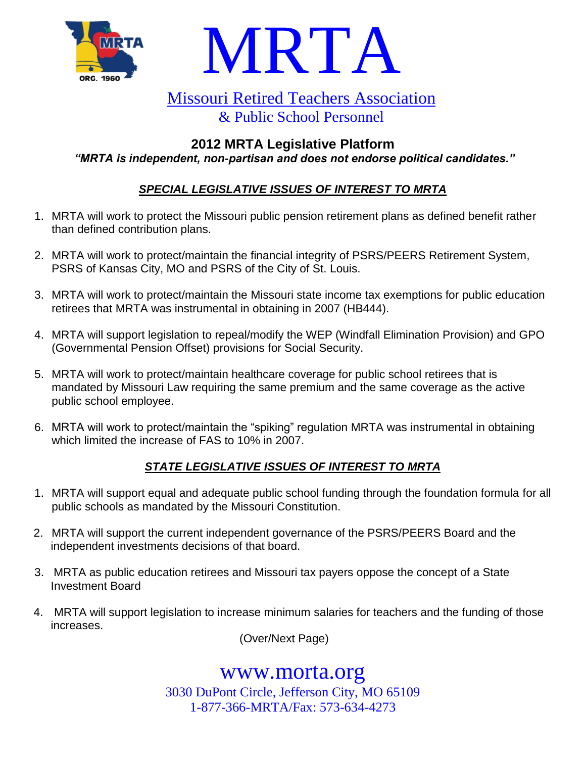



# Missouri Retired Teachers Association & Public School Personnel

# **2012 MRTA Legislative Platform** *"MRTA is independent, non-partisan and does not endorse political candidates."*

# *SPECIAL LEGISLATIVE ISSUES OF INTEREST TO MRTA*

- 1. MRTA will work to protect the Missouri public pension retirement plans as defined benefit rather than defined contribution plans.
- 2. MRTA will work to protect/maintain the financial integrity of PSRS/PEERS Retirement System, PSRS of Kansas City, MO and PSRS of the City of St. Louis.
- 3. MRTA will work to protect/maintain the Missouri state income tax exemptions for public education retirees that MRTA was instrumental in obtaining in 2007 (HB444).
- 4. MRTA will support legislation to repeal/modify the WEP (Windfall Elimination Provision) and GPO (Governmental Pension Offset) provisions for Social Security.
- 5. MRTA will work to protect/maintain healthcare coverage for public school retirees that is mandated by Missouri Law requiring the same premium and the same coverage as the active public school employee.
- 6. MRTA will work to protect/maintain the "spiking" regulation MRTA was instrumental in obtaining which limited the increase of FAS to 10% in 2007.

# *STATE LEGISLATIVE ISSUES OF INTEREST TO MRTA*

- 1. MRTA will support equal and adequate public school funding through the foundation formula for all public schools as mandated by the Missouri Constitution.
- 2. MRTA will support the current independent governance of the PSRS/PEERS Board and the independent investments decisions of that board.
- 3. MRTA as public education retirees and Missouri tax payers oppose the concept of a State Investment Board
- 4. MRTA will support legislation to increase minimum salaries for teachers and the funding of those increases.

(Over/Next Page)

www.morta.org 3030 DuPont Circle, Jefferson City, MO 65109 1-877-366-MRTA/Fax: 573-634-4273